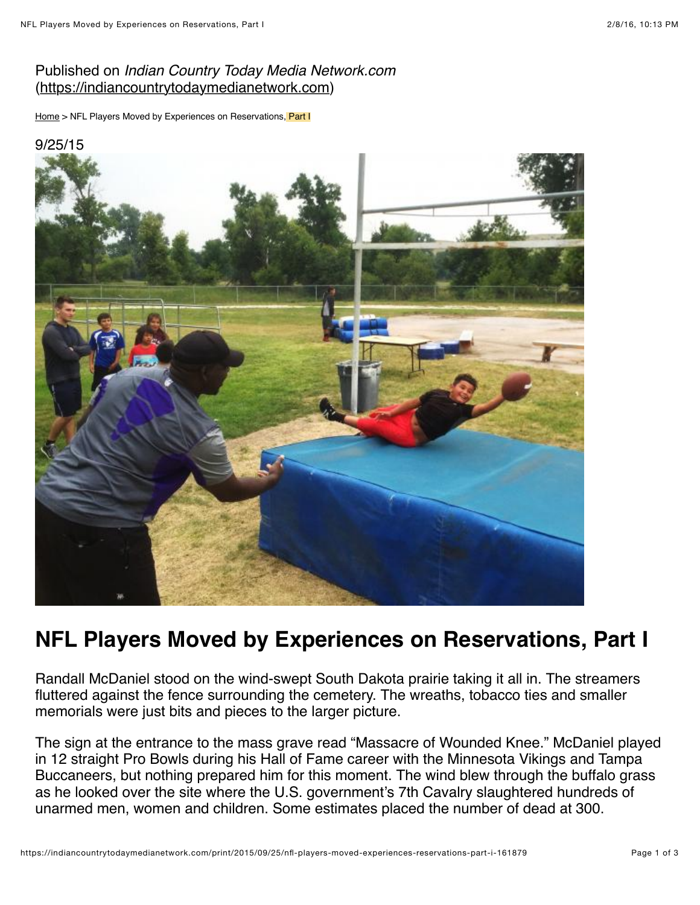## Published on *Indian Country Today Media Network.com* [\(https://indiancountrytodaymedianetwork.com](https://indiancountrytodaymedianetwork.com/))

[Home](https://indiancountrytodaymedianetwork.com/) > NFL Players Moved by Experiences on Reservations, Part I



# **NFL Players Moved by Experiences on Reservations, Part I**

Randall McDaniel stood on the wind-swept South Dakota prairie taking it all in. The streamers fluttered against the fence surrounding the cemetery. The wreaths, tobacco ties and smaller memorials were just bits and pieces to the larger picture.

The sign at the entrance to the mass grave read "Massacre of Wounded Knee." McDaniel played in 12 straight Pro Bowls during his Hall of Fame career with the Minnesota Vikings and Tampa Buccaneers, but nothing prepared him for this moment. The wind blew through the buffalo grass as he looked over the site where the U.S. government's 7th Cavalry slaughtered hundreds of unarmed men, women and children. Some estimates placed the number of dead at 300.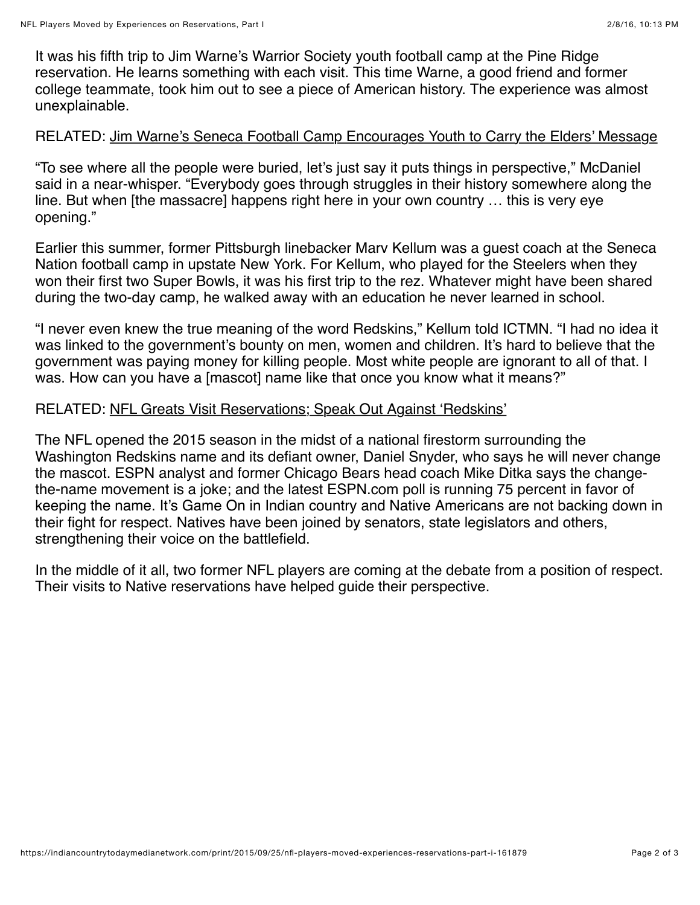It was his fifth trip to Jim Warne's Warrior Society youth football camp at the Pine Ridge reservation. He learns something with each visit. This time Warne, a good friend and former college teammate, took him out to see a piece of American history. The experience was almost unexplainable.

### RELATED: [Jim Warne's Seneca Football Camp Encourages Youth to Carry the Elders' Message](http://indiancountrytodaymedianetwork.com/2014/08/08/jim-warnes-seneca-football-camp-encourages-youth-carry-elders-message-156307)

"To see where all the people were buried, let's just say it puts things in perspective," McDaniel said in a near-whisper. "Everybody goes through struggles in their history somewhere along the line. But when [the massacre] happens right here in your own country … this is very eye opening."

Earlier this summer, former Pittsburgh linebacker Marv Kellum was a guest coach at the Seneca Nation football camp in upstate New York. For Kellum, who played for the Steelers when they won their first two Super Bowls, it was his first trip to the rez. Whatever might have been shared during the two-day camp, he walked away with an education he never learned in school.

"I never even knew the true meaning of the word Redskins," Kellum told ICTMN. "I had no idea it was linked to the government's bounty on men, women and children. It's hard to believe that the government was paying money for killing people. Most white people are ignorant to all of that. I was. How can you have a [mascot] name like that once you know what it means?"

#### RELATED: [NFL Greats Visit Reservations; Speak Out Against 'Redskins'](http://indiancountrytodaymedianetwork.com/2014/09/05/nfl-greats-visit-reservations-speak-out-against-redskins-156740)

The NFL opened the 2015 season in the midst of a national firestorm surrounding the Washington Redskins name and its defiant owner, Daniel Snyder, who says he will never change the mascot. ESPN analyst and former Chicago Bears head coach Mike Ditka says the changethe-name movement is a joke; and the latest ESPN.com poll is running 75 percent in favor of keeping the name. It's Game On in Indian country and Native Americans are not backing down in their fight for respect. Natives have been joined by senators, state legislators and others, strengthening their voice on the battlefield.

In the middle of it all, two former NFL players are coming at the debate from a position of respect. Their visits to Native reservations have helped guide their perspective.